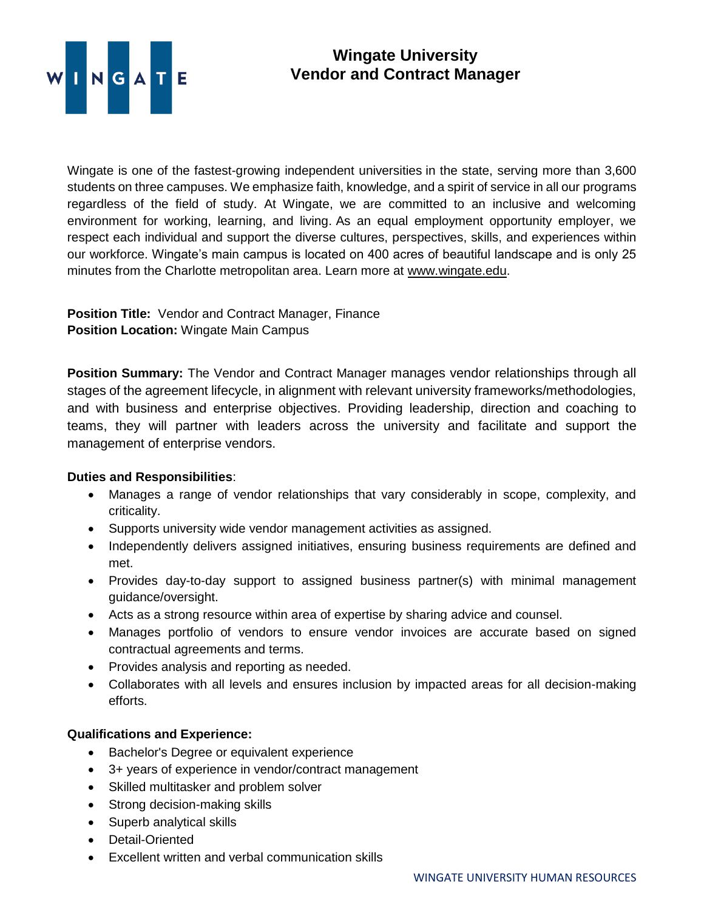

## **Wingate University Vendor and Contract Manager**

Wingate is one of the fastest-growing independent universities in the state, serving more than 3,600 students on three campuses. We emphasize faith, knowledge, and a spirit of service in all our programs regardless of the field of study. At Wingate, we are committed to an inclusive and welcoming environment for working, learning, and living. As an equal employment opportunity employer, we respect each individual and support the diverse cultures, perspectives, skills, and experiences within our workforce. Wingate's main campus is located on 400 acres of beautiful landscape and is only 25 minutes from the Charlotte metropolitan area. Learn more at [www.wingate.edu.](http://www.wingate/edu)

**Position Title:** Vendor and Contract Manager, Finance **Position Location:** Wingate Main Campus

**Position Summary:** The Vendor and Contract Manager manages vendor relationships through all stages of the agreement lifecycle, in alignment with relevant university frameworks/methodologies, and with business and enterprise objectives. Providing leadership, direction and coaching to teams, they will partner with leaders across the university and facilitate and support the management of enterprise vendors.

## **Duties and Responsibilities**:

- Manages a range of vendor relationships that vary considerably in scope, complexity, and criticality.
- Supports university wide vendor management activities as assigned.
- Independently delivers assigned initiatives, ensuring business requirements are defined and met.
- Provides day-to-day support to assigned business partner(s) with minimal management guidance/oversight.
- Acts as a strong resource within area of expertise by sharing advice and counsel.
- Manages portfolio of vendors to ensure vendor invoices are accurate based on signed contractual agreements and terms.
- Provides analysis and reporting as needed.
- Collaborates with all levels and ensures inclusion by impacted areas for all decision-making efforts.

## **Qualifications and Experience:**

- Bachelor's Degree or equivalent experience
- 3+ years of experience in vendor/contract management
- Skilled multitasker and problem solver
- Strong decision-making skills
- Superb analytical skills
- Detail-Oriented
- Excellent written and verbal communication skills